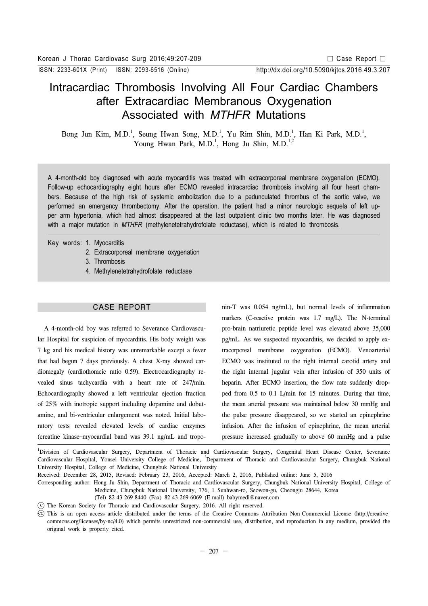ISSN: 2233-601X (Print) ISSN: 2093-6516 (Online)

# Intracardiac Thrombosis Involving All Four Cardiac Chambers after Extracardiac Membranous Oxygenation Associated with MTHFR Mutations

Bong Jun Kim, M.D.<sup>1</sup>, Seung Hwan Song, M.D.<sup>1</sup>, Yu Rim Shin, M.D.<sup>1</sup>, Han Ki Park, M.D.<sup>1</sup>, Young Hwan Park, M.D.<sup>1</sup>, Hong Ju Shin, M.D.<sup>1,2</sup>

A 4-month-old boy diagnosed with acute myocarditis was treated with extracorporeal membrane oxygenation (ECMO). Follow-up echocardiography eight hours after ECMO revealed intracardiac thrombosis involving all four heart chambers. Because of the high risk of systemic embolization due to a pedunculated thrombus of the aortic valve, we performed an emergency thrombectomy. After the operation, the patient had a minor neurologic sequela of left upper arm hypertonia, which had almost disappeared at the last outpatient clinic two months later. He was diagnosed with a major mutation in MTHFR (methylenetetrahydrofolate reductase), which is related to thrombosis.

- Key words: 1. Myocarditis
	- 2. Extracorporeal membrane oxygenation
	- 3. Thrombosis
	- 4. Methylenetetrahydrofolate reductase

## CASE REPORT

A 4-month-old boy was referred to Severance Cardiovascular Hospital for suspicion of myocarditis. His body weight was 7 kg and his medical history was unremarkable except a fever that had begun 7 days previously. A chest X-ray showed cardiomegaly (cardiothoracic ratio 0.59). Electrocardiography revealed sinus tachycardia with a heart rate of 247/min. Echocardiography showed a left ventricular ejection fraction of 25% with inotropic support including dopamine and dobutamine, and bi-ventricular enlargement was noted. Initial laboratory tests revealed elevated levels of cardiac enzymes (creatine kinase–myocardial band was 39.1 ng/mL and troponin-T was 0.054 ng/mL), but normal levels of inflammation markers (C-reactive protein was 1.7 mg/L). The N-terminal pro-brain natriuretic peptide level was elevated above 35,000 pg/mL. As we suspected myocarditis, we decided to apply extracorporeal membrane oxygenation (ECMO). Venoarterial ECMO was instituted to the right internal carotid artery and the right internal jugular vein after infusion of 350 units of heparin. After ECMO insertion, the flow rate suddenly dropped from 0.5 to 0.1 L/min for 15 minutes. During that time, the mean arterial pressure was maintained below 30 mmHg and the pulse pressure disappeared, so we started an epinephrine infusion. After the infusion of epinephrine, the mean arterial pressure increased gradually to above 60 mmHg and a pulse

1 Division of Cardiovascular Surgery, Department of Thoracic and Cardiovascular Surgery, Congenital Heart Disease Center, Severance Cardiovascular Hospital, Yonsei University College of Medicine, <sup>2</sup>Department of Thoracic and Cardiovascular Surgery, Chungbuk National University Hospital, College of Medicine, Chungbuk National University

Received: December 28, 2015, Revised: February 23, 2016, Accepted: March 2, 2016, Published online: June 5, 2016

Corresponding author: Hong Ju Shin, Department of Thoracic and Cardiovascular Surgery, Chungbuk National University Hospital, College of Medicine, Chungbuk National University, 776, 1 Sunhwan-ro, Seowon-gu, Cheongju 28644, Korea

C The Korean Society for Thoracic and Cardiovascular Surgery. 2016. All right reserved.

<sup>(</sup>Tel) 82-43-269-8440 (Fax) 82-43-269-6069 (E-mail) babymedi@naver.com

CC This is an open access article distributed under the terms of the Creative Commons Attribution Non-Commercial License (http://creativecommons.org/licenses/by-nc/4.0) which permits unrestricted non-commercial use, distribution, and reproduction in any medium, provided the original work is properly cited.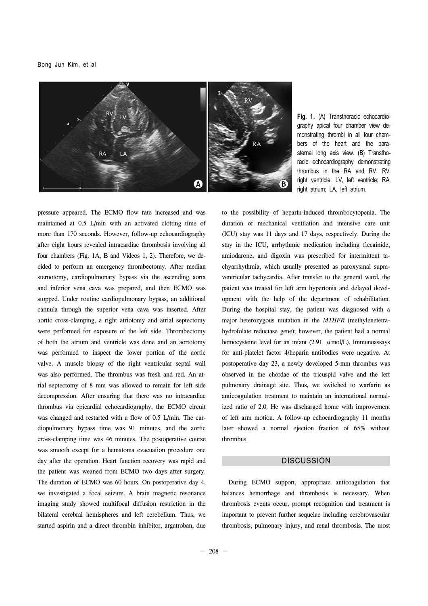Bong Jun Kim, et al



Fig. 1. (A) Transthoracic echocardiography apical four chamber view demonstrating thrombi in all four chambers of the heart and the parasternal long axis view. (B) Transthoracic echocardiography demonstrating thrombus in the RA and RV. RV, right ventricle; LV, left ventricle; RA, right atrium; LA, left atrium.

pressure appeared. The ECMO flow rate increased and was maintained at 0.5 L/min with an activated clotting time of more than 170 seconds. However, follow-up echocardiography after eight hours revealed intracardiac thrombosis involving all four chambers (Fig. 1A, B and Videos 1, 2). Therefore, we decided to perform an emergency thrombectomy. After median sternotomy, cardiopulmonary bypass via the ascending aorta and inferior vena cava was prepared, and then ECMO was stopped. Under routine cardiopulmonary bypass, an additional cannula through the superior vena cava was inserted. After aortic cross-clamping, a right atriotomy and atrial septectomy were performed for exposure of the left side. Thrombectomy of both the atrium and ventricle was done and an aortotomy was performed to inspect the lower portion of the aortic valve. A muscle biopsy of the right ventricular septal wall was also performed. The thrombus was fresh and red. An atrial septectomy of 8 mm was allowed to remain for left side decompression. After ensuring that there was no intracardiac thrombus via epicardial echocardiography, the ECMO circuit was changed and restarted with a flow of 0.5 L/min. The cardiopulmonary bypass time was 91 minutes, and the aortic cross-clamping time was 46 minutes. The postoperative course was smooth except for a hematoma evacuation procedure one day after the operation. Heart function recovery was rapid and the patient was weaned from ECMO two days after surgery. The duration of ECMO was 60 hours. On postoperative day 4, we investigated a focal seizure. A brain magnetic resonance imaging study showed multifocal diffusion restriction in the bilateral cerebral hemispheres and left cerebellum. Thus, we started aspirin and a direct thrombin inhibitor, argatroban, due

to the possibility of heparin-induced thrombocytopenia. The duration of mechanical ventilation and intensive care unit (ICU) stay was 11 days and 17 days, respectively. During the stay in the ICU, arrhythmic medication including flecainide, amiodarone, and digoxin was prescribed for intermittent tachyarrhythmia, which usually presented as paroxysmal supraventricular tachycardia. After transfer to the general ward, the patient was treated for left arm hypertonia and delayed development with the help of the department of rehabilitation. During the hospital stay, the patient was diagnosed with a major heterozygous mutation in the *MTHFR* (methylenetetrahydrofolate reductase gene); however, the patient had a normal homocysteine level for an infant (2.91  $\mu$  mol/L). Immunoassays for anti-platelet factor 4/heparin antibodies were negative. At postoperative day 23, a newly developed 5-mm thrombus was observed in the chordae of the tricuspid valve and the left pulmonary drainage site. Thus, we switched to warfarin as anticoagulation treatment to maintain an international normalized ratio of 2.0. He was discharged home with improvement of left arm motion. A follow-up echocardiography 11 months later showed a normal ejection fraction of 65% without thrombus.

# **DISCUSSION**

During ECMO support, appropriate anticoagulation that balances hemorrhage and thrombosis is necessary. When thrombosis events occur, prompt recognition and treatment is important to prevent further sequelae including cerebrovascular thrombosis, pulmonary injury, and renal thrombosis. The most